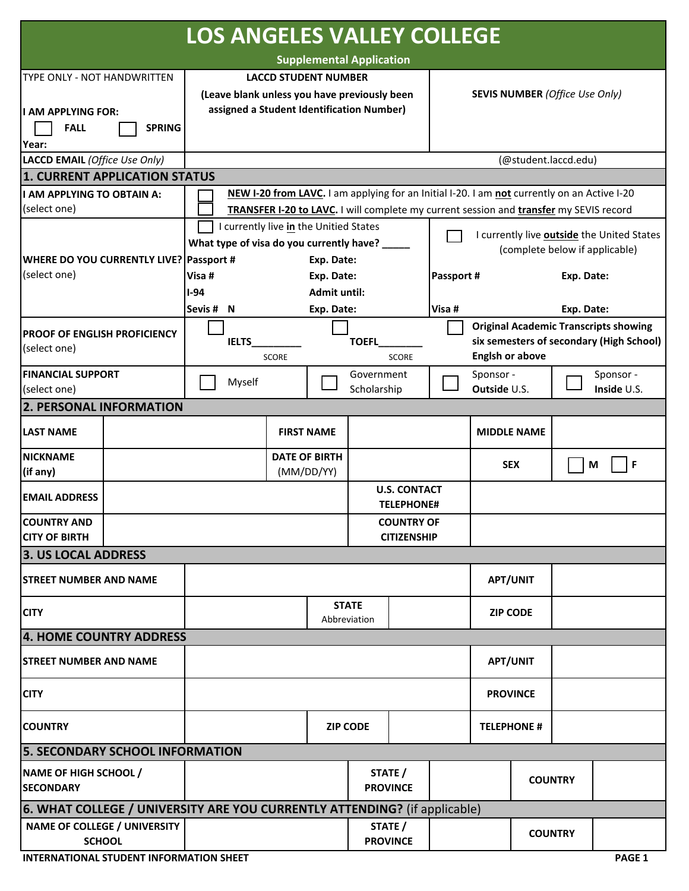| <b>LOS ANGELES VALLEY COLLEGE</b>                                         |           |                                                                                             |                      |                    |                              |                                                                                     |                        |                                                                                          |            |             |  |
|---------------------------------------------------------------------------|-----------|---------------------------------------------------------------------------------------------|----------------------|--------------------|------------------------------|-------------------------------------------------------------------------------------|------------------------|------------------------------------------------------------------------------------------|------------|-------------|--|
| <b>Supplemental Application</b>                                           |           |                                                                                             |                      |                    |                              |                                                                                     |                        |                                                                                          |            |             |  |
| TYPE ONLY - NOT HANDWRITTEN                                               |           | <b>LACCD STUDENT NUMBER</b>                                                                 |                      |                    |                              |                                                                                     |                        |                                                                                          |            |             |  |
|                                                                           |           | (Leave blank unless you have previously been                                                |                      |                    |                              | <b>SEVIS NUMBER (Office Use Only)</b>                                               |                        |                                                                                          |            |             |  |
| ll AM APPLYING FOR:                                                       |           | assigned a Student Identification Number)                                                   |                      |                    |                              |                                                                                     |                        |                                                                                          |            |             |  |
| <b>FALL</b><br><b>SPRING</b>                                              |           |                                                                                             |                      |                    |                              |                                                                                     |                        |                                                                                          |            |             |  |
| Year:                                                                     |           |                                                                                             |                      |                    |                              |                                                                                     |                        |                                                                                          |            |             |  |
| LACCD EMAIL (Office Use Only)                                             |           |                                                                                             |                      |                    |                              |                                                                                     |                        | (@student.laccd.edu)                                                                     |            |             |  |
| 1. CURRENT APPLICATION STATUS                                             |           |                                                                                             |                      |                    |                              |                                                                                     |                        |                                                                                          |            |             |  |
| I AM APPLYING TO OBTAIN A:                                                |           | NEW I-20 from LAVC. I am applying for an Initial I-20. I am not currently on an Active I-20 |                      |                    |                              |                                                                                     |                        |                                                                                          |            |             |  |
| (select one)                                                              |           | TRANSFER I-20 to LAVC. I will complete my current session and transfer my SEVIS record      |                      |                    |                              |                                                                                     |                        |                                                                                          |            |             |  |
|                                                                           |           | I currently live in the Unitied States                                                      |                      |                    |                              | I currently live <b>outside</b> the United States<br>(complete below if applicable) |                        |                                                                                          |            |             |  |
|                                                                           |           | What type of visa do you currently have? ____                                               |                      |                    |                              |                                                                                     |                        |                                                                                          |            |             |  |
| WHERE DO YOU CURRENTLY LIVE? Passport #                                   |           | Exp. Date:                                                                                  |                      |                    |                              |                                                                                     |                        |                                                                                          |            |             |  |
| (select one)                                                              |           | Visa #<br>Exp. Date:                                                                        |                      |                    |                              |                                                                                     | Passport #             |                                                                                          | Exp. Date: |             |  |
|                                                                           | $I-94$    | <b>Admit until:</b>                                                                         |                      |                    |                              |                                                                                     | Exp. Date:             |                                                                                          |            |             |  |
|                                                                           | Sevis # N |                                                                                             | Exp. Date:           |                    |                              | Visa #                                                                              |                        |                                                                                          |            |             |  |
| <b>IPROOF OF ENGLISH PROFICIENCY</b>                                      |           |                                                                                             |                      |                    |                              |                                                                                     |                        | <b>Original Academic Transcripts showing</b><br>six semesters of secondary (High School) |            |             |  |
| (select one)                                                              |           | <b>IELTS</b><br><b>SCORE</b>                                                                |                      |                    | <b>TOEFL</b><br><b>SCORE</b> |                                                                                     | <b>Englsh or above</b> |                                                                                          |            |             |  |
| <b>FINANCIAL SUPPORT</b>                                                  |           |                                                                                             |                      | Government         |                              |                                                                                     | Sponsor -              |                                                                                          |            | Sponsor -   |  |
| (select one)                                                              |           | Myself                                                                                      |                      | Scholarship        |                              |                                                                                     | Outside U.S.           |                                                                                          |            | Inside U.S. |  |
| <b>2. PERSONAL INFORMATION</b>                                            |           |                                                                                             |                      |                    |                              |                                                                                     |                        |                                                                                          |            |             |  |
| <b>LAST NAME</b>                                                          |           |                                                                                             | <b>FIRST NAME</b>    |                    |                              |                                                                                     |                        |                                                                                          |            |             |  |
| <b>NICKNAME</b>                                                           |           |                                                                                             | <b>DATE OF BIRTH</b> |                    |                              |                                                                                     | <b>MIDDLE NAME</b>     |                                                                                          |            |             |  |
| (if any)                                                                  |           |                                                                                             | (MM/DD/YY)           |                    |                              |                                                                                     | <b>SEX</b>             |                                                                                          |            | F<br>M      |  |
|                                                                           |           |                                                                                             |                      |                    | <b>U.S. CONTACT</b>          |                                                                                     |                        |                                                                                          |            |             |  |
| <b>EMAIL ADDRESS</b>                                                      |           |                                                                                             |                      |                    | <b>TELEPHONE#</b>            |                                                                                     |                        |                                                                                          |            |             |  |
| <b>COUNTRY AND</b>                                                        |           |                                                                                             |                      | <b>COUNTRY OF</b>  |                              |                                                                                     |                        |                                                                                          |            |             |  |
| <b>CITY OF BIRTH</b>                                                      |           |                                                                                             |                      | <b>CITIZENSHIP</b> |                              |                                                                                     |                        |                                                                                          |            |             |  |
| 3. US LOCAL ADDRESS                                                       |           |                                                                                             |                      |                    |                              |                                                                                     |                        |                                                                                          |            |             |  |
| <b>STREET NUMBER AND NAME</b>                                             |           |                                                                                             |                      |                    |                              |                                                                                     | <b>APT/UNIT</b>        |                                                                                          |            |             |  |
|                                                                           |           |                                                                                             |                      | <b>STATE</b>       |                              |                                                                                     |                        |                                                                                          |            |             |  |
| <b>CITY</b>                                                               |           |                                                                                             |                      | Abbreviation       |                              |                                                                                     | <b>ZIP CODE</b>        |                                                                                          |            |             |  |
| 4. HOME COUNTRY ADDRESS                                                   |           |                                                                                             |                      |                    |                              |                                                                                     |                        |                                                                                          |            |             |  |
| <b>STREET NUMBER AND NAME</b>                                             |           |                                                                                             |                      |                    |                              |                                                                                     | <b>APT/UNIT</b>        |                                                                                          |            |             |  |
| <b>CITY</b>                                                               |           |                                                                                             |                      |                    |                              |                                                                                     | <b>PROVINCE</b>        |                                                                                          |            |             |  |
| <b>COUNTRY</b>                                                            |           | <b>ZIP CODE</b>                                                                             |                      |                    |                              |                                                                                     | <b>TELEPHONE #</b>     |                                                                                          |            |             |  |
| <b>5. SECONDARY SCHOOL INFORMATION</b>                                    |           |                                                                                             |                      |                    |                              |                                                                                     |                        |                                                                                          |            |             |  |
|                                                                           |           |                                                                                             |                      |                    |                              |                                                                                     |                        |                                                                                          |            |             |  |
| <b>NAME OF HIGH SCHOOL /</b><br><b>SECONDARY</b>                          |           |                                                                                             |                      |                    | STATE /<br><b>PROVINCE</b>   |                                                                                     |                        | <b>COUNTRY</b>                                                                           |            |             |  |
|                                                                           |           |                                                                                             |                      |                    |                              |                                                                                     |                        |                                                                                          |            |             |  |
| 6. WHAT COLLEGE / UNIVERSITY ARE YOU CURRENTLY ATTENDING? (if applicable) |           |                                                                                             |                      |                    |                              |                                                                                     |                        |                                                                                          |            |             |  |
| <b>NAME OF COLLEGE / UNIVERSITY</b><br><b>SCHOOL</b>                      |           |                                                                                             |                      |                    | STATE /<br><b>PROVINCE</b>   |                                                                                     | <b>COUNTRY</b>         |                                                                                          |            |             |  |